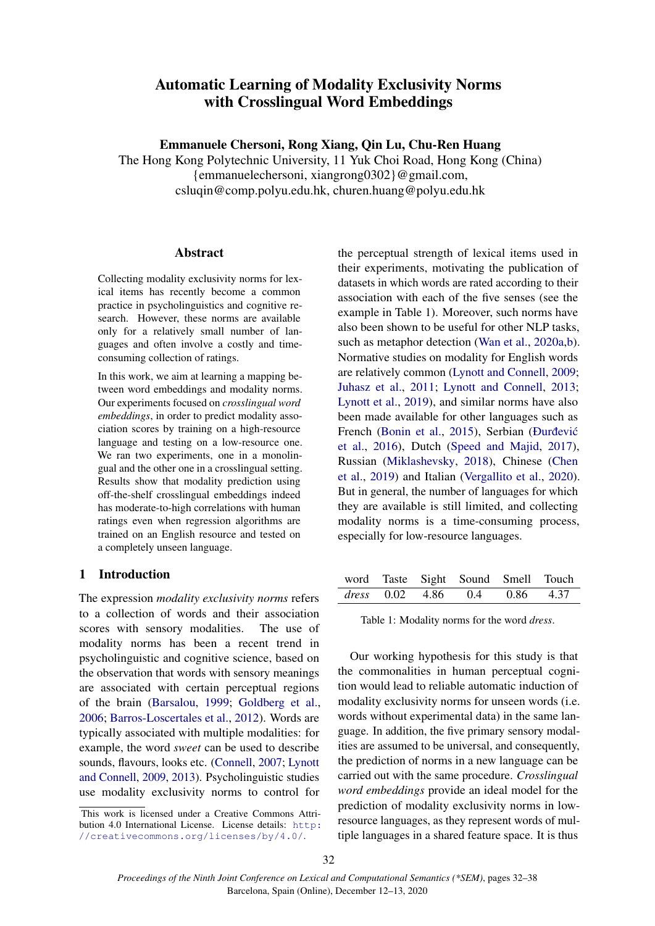# Automatic Learning of Modality Exclusivity Norms with Crosslingual Word Embeddings

Emmanuele Chersoni, Rong Xiang, Qin Lu, Chu-Ren Huang

The Hong Kong Polytechnic University, 11 Yuk Choi Road, Hong Kong (China) {emmanuelechersoni, xiangrong0302}@gmail.com, csluqin@comp.polyu.edu.hk, churen.huang@polyu.edu.hk

## Abstract

Collecting modality exclusivity norms for lexical items has recently become a common practice in psycholinguistics and cognitive research. However, these norms are available only for a relatively small number of languages and often involve a costly and timeconsuming collection of ratings.

In this work, we aim at learning a mapping between word embeddings and modality norms. Our experiments focused on *crosslingual word embeddings*, in order to predict modality association scores by training on a high-resource language and testing on a low-resource one. We ran two experiments, one in a monolingual and the other one in a crosslingual setting. Results show that modality prediction using off-the-shelf crosslingual embeddings indeed has moderate-to-high correlations with human ratings even when regression algorithms are trained on an English resource and tested on a completely unseen language.

## 1 Introduction

The expression *modality exclusivity norms* refers to a collection of words and their association scores with sensory modalities. The use of modality norms has been a recent trend in psycholinguistic and cognitive science, based on the observation that words with sensory meanings are associated with certain perceptual regions of the brain [\(Barsalou,](#page-5-0) [1999;](#page-5-0) [Goldberg et al.,](#page-5-1) [2006;](#page-5-1) [Barros-Loscertales et al.,](#page-5-2) [2012\)](#page-5-2). Words are typically associated with multiple modalities: for example, the word *sweet* can be used to describe sounds, flavours, looks etc. [\(Connell,](#page-5-3) [2007;](#page-5-3) [Lynott](#page-5-4) [and Connell,](#page-5-4) [2009,](#page-5-4) [2013\)](#page-5-5). Psycholinguistic studies use modality exclusivity norms to control for

the perceptual strength of lexical items used in their experiments, motivating the publication of datasets in which words are rated according to their association with each of the five senses (see the example in Table 1). Moreover, such norms have also been shown to be useful for other NLP tasks, such as metaphor detection [\(Wan et al.,](#page-6-0) [2020a](#page-6-0)[,b\)](#page-6-1). Normative studies on modality for English words are relatively common [\(Lynott and Connell,](#page-5-4) [2009;](#page-5-4) [Juhasz et al.,](#page-5-6) [2011;](#page-5-6) [Lynott and Connell,](#page-5-5) [2013;](#page-5-5) [Lynott et al.,](#page-6-2) [2019\)](#page-6-2), and similar norms have also been made available for other languages such as French [\(Bonin et al.,](#page-5-7) [2015\)](#page-5-7), Serbian (Đurđević [et al.,](#page-6-3) [2016\)](#page-6-3), Dutch [\(Speed and Majid,](#page-6-4) [2017\)](#page-6-4), Russian [\(Miklashevsky,](#page-6-5) [2018\)](#page-6-5), Chinese [\(Chen](#page-5-8) [et al.,](#page-5-8) [2019\)](#page-5-8) and Italian [\(Vergallito et al.,](#page-6-6) [2020\)](#page-6-6). But in general, the number of languages for which they are available is still limited, and collecting modality norms is a time-consuming process, especially for low-resource languages.

|  | word Taste Sight Sound Smell Touch |  |
|--|------------------------------------|--|
|  | dress $0.02$ 4.86 $0.4$ 0.86 4.37  |  |

Table 1: Modality norms for the word *dress*.

Our working hypothesis for this study is that the commonalities in human perceptual cognition would lead to reliable automatic induction of modality exclusivity norms for unseen words (i.e. words without experimental data) in the same language. In addition, the five primary sensory modalities are assumed to be universal, and consequently, the prediction of norms in a new language can be carried out with the same procedure. *Crosslingual word embeddings* provide an ideal model for the prediction of modality exclusivity norms in lowresource languages, as they represent words of multiple languages in a shared feature space. It is thus

This work is licensed under a Creative Commons Attribution 4.0 International License. License details: [http:](http://creativecommons.org/licenses/by/4.0/) [//creativecommons.org/licenses/by/4.0/](http://creativecommons.org/licenses/by/4.0/).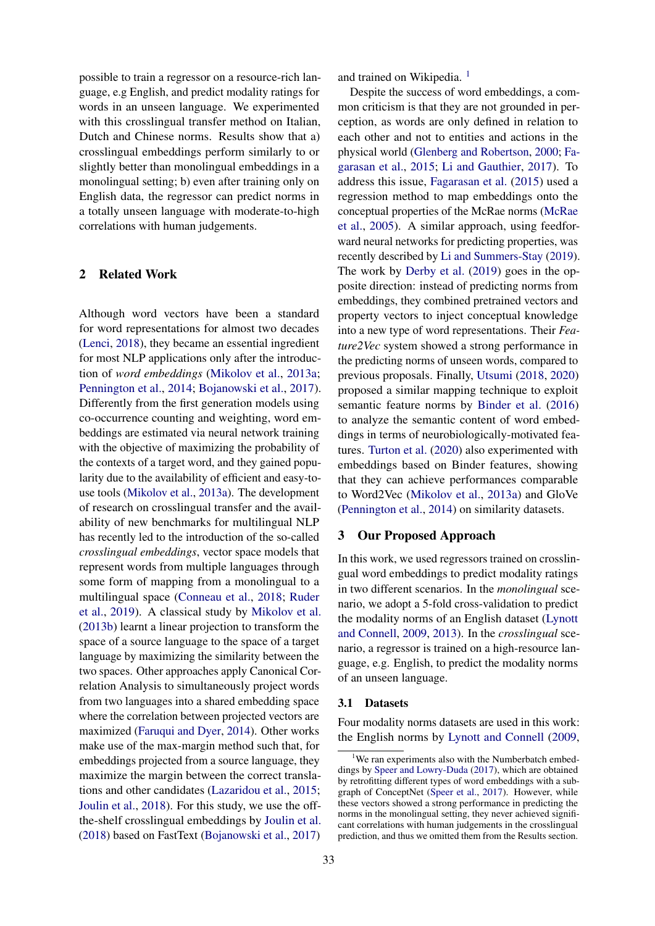possible to train a regressor on a resource-rich language, e.g English, and predict modality ratings for words in an unseen language. We experimented with this crosslingual transfer method on Italian, Dutch and Chinese norms. Results show that a) crosslingual embeddings perform similarly to or slightly better than monolingual embeddings in a monolingual setting; b) even after training only on English data, the regressor can predict norms in a totally unseen language with moderate-to-high correlations with human judgements.

## 2 Related Work

Although word vectors have been a standard for word representations for almost two decades [\(Lenci,](#page-5-9) [2018\)](#page-5-9), they became an essential ingredient for most NLP applications only after the introduction of *word embeddings* [\(Mikolov et al.,](#page-6-7) [2013a;](#page-6-7) [Pennington et al.,](#page-6-8) [2014;](#page-6-8) [Bojanowski et al.,](#page-5-10) [2017\)](#page-5-10). Differently from the first generation models using co-occurrence counting and weighting, word embeddings are estimated via neural network training with the objective of maximizing the probability of the contexts of a target word, and they gained popularity due to the availability of efficient and easy-touse tools [\(Mikolov et al.,](#page-6-7) [2013a\)](#page-6-7). The development of research on crosslingual transfer and the availability of new benchmarks for multilingual NLP has recently led to the introduction of the so-called *crosslingual embeddings*, vector space models that represent words from multiple languages through some form of mapping from a monolingual to a multilingual space [\(Conneau et al.,](#page-5-11) [2018;](#page-5-11) [Ruder](#page-6-9) [et al.,](#page-6-9) [2019\)](#page-6-9). A classical study by [Mikolov et al.](#page-6-10) [\(2013b\)](#page-6-10) learnt a linear projection to transform the space of a source language to the space of a target language by maximizing the similarity between the two spaces. Other approaches apply Canonical Correlation Analysis to simultaneously project words from two languages into a shared embedding space where the correlation between projected vectors are maximized [\(Faruqui and Dyer,](#page-5-12) [2014\)](#page-5-12). Other works make use of the max-margin method such that, for embeddings projected from a source language, they maximize the margin between the correct translations and other candidates [\(Lazaridou et al.,](#page-5-13) [2015;](#page-5-13) [Joulin et al.,](#page-5-14) [2018\)](#page-5-14). For this study, we use the offthe-shelf crosslingual embeddings by [Joulin et al.](#page-5-14) [\(2018\)](#page-5-14) based on FastText [\(Bojanowski et al.,](#page-5-10) [2017\)](#page-5-10)

and trained on Wikipedia.<sup>[1](#page-1-0)</sup>

Despite the success of word embeddings, a common criticism is that they are not grounded in perception, as words are only defined in relation to each other and not to entities and actions in the physical world [\(Glenberg and Robertson,](#page-5-15) [2000;](#page-5-15) [Fa](#page-5-16)[garasan et al.,](#page-5-16) [2015;](#page-5-16) [Li and Gauthier,](#page-5-17) [2017\)](#page-5-17). To address this issue, [Fagarasan et al.](#page-5-16) [\(2015\)](#page-5-16) used a regression method to map embeddings onto the conceptual properties of the McRae norms [\(McRae](#page-6-11) [et al.,](#page-6-11) [2005\)](#page-6-11). A similar approach, using feedforward neural networks for predicting properties, was recently described by [Li and Summers-Stay](#page-5-18) [\(2019\)](#page-5-18). The work by [Derby et al.](#page-5-19) [\(2019\)](#page-5-19) goes in the opposite direction: instead of predicting norms from embeddings, they combined pretrained vectors and property vectors to inject conceptual knowledge into a new type of word representations. Their *Feature2Vec* system showed a strong performance in the predicting norms of unseen words, compared to previous proposals. Finally, [Utsumi](#page-6-12) [\(2018,](#page-6-12) [2020\)](#page-6-13) proposed a similar mapping technique to exploit semantic feature norms by [Binder et al.](#page-5-20) [\(2016\)](#page-5-20) to analyze the semantic content of word embeddings in terms of neurobiologically-motivated features. [Turton et al.](#page-6-14) [\(2020\)](#page-6-14) also experimented with embeddings based on Binder features, showing that they can achieve performances comparable to Word2Vec [\(Mikolov et al.,](#page-6-7) [2013a\)](#page-6-7) and GloVe [\(Pennington et al.,](#page-6-8) [2014\)](#page-6-8) on similarity datasets.

#### 3 Our Proposed Approach

In this work, we used regressors trained on crosslingual word embeddings to predict modality ratings in two different scenarios. In the *monolingual* scenario, we adopt a 5-fold cross-validation to predict the modality norms of an English dataset [\(Lynott](#page-5-4) [and Connell,](#page-5-4) [2009,](#page-5-4) [2013\)](#page-5-5). In the *crosslingual* scenario, a regressor is trained on a high-resource language, e.g. English, to predict the modality norms of an unseen language.

#### 3.1 Datasets

Four modality norms datasets are used in this work: the English norms by [Lynott and Connell](#page-5-4) [\(2009,](#page-5-4)

<span id="page-1-0"></span><sup>1</sup>We ran experiments also with the Numberbatch embeddings by [Speer and Lowry-Duda](#page-6-15) [\(2017\)](#page-6-15), which are obtained by retrofitting different types of word embeddings with a subgraph of ConceptNet [\(Speer et al.,](#page-6-16) [2017\)](#page-6-16). However, while these vectors showed a strong performance in predicting the norms in the monolingual setting, they never achieved significant correlations with human judgements in the crosslingual prediction, and thus we omitted them from the Results section.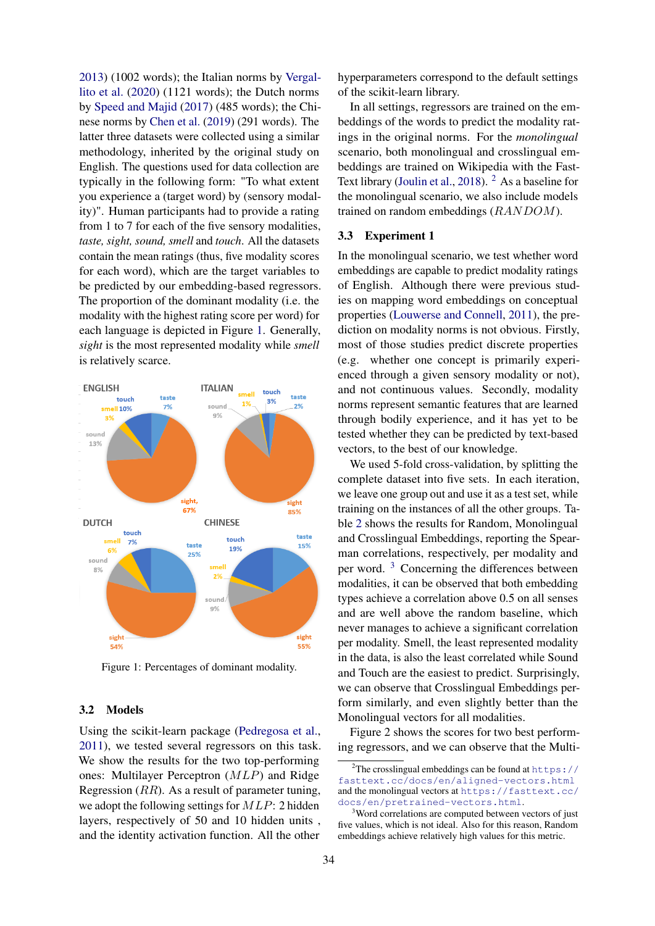[2013\)](#page-5-5) (1002 words); the Italian norms by [Vergal](#page-6-6)[lito et al.](#page-6-6) [\(2020\)](#page-6-6) (1121 words); the Dutch norms by [Speed and Majid](#page-6-4) [\(2017\)](#page-6-4) (485 words); the Chinese norms by [Chen et al.](#page-5-8) [\(2019\)](#page-5-8) (291 words). The latter three datasets were collected using a similar methodology, inherited by the original study on English. The questions used for data collection are typically in the following form: "To what extent you experience a (target word) by (sensory modality)". Human participants had to provide a rating from 1 to 7 for each of the five sensory modalities, *taste, sight, sound, smell* and *touch*. All the datasets contain the mean ratings (thus, five modality scores for each word), which are the target variables to be predicted by our embedding-based regressors. The proportion of the dominant modality (i.e. the modality with the highest rating score per word) for each language is depicted in Figure [1.](#page-2-0) Generally, *sight* is the most represented modality while *smell* is relatively scarce.

<span id="page-2-0"></span>

Figure 1: Percentages of dominant modality.

## 3.2 Models

Using the scikit-learn package [\(Pedregosa et al.,](#page-6-17) [2011\)](#page-6-17), we tested several regressors on this task. We show the results for the two top-performing ones: Multilayer Perceptron (MLP) and Ridge Regression (RR). As a result of parameter tuning, we adopt the following settings for MLP: 2 hidden layers, respectively of 50 and 10 hidden units , and the identity activation function. All the other

hyperparameters correspond to the default settings of the scikit-learn library.

In all settings, regressors are trained on the embeddings of the words to predict the modality ratings in the original norms. For the *monolingual* scenario, both monolingual and crosslingual embeddings are trained on Wikipedia with the Fast-Text library [\(Joulin et al.,](#page-5-14) [2018\)](#page-5-14). <sup>[2](#page-2-1)</sup> As a baseline for the monolingual scenario, we also include models trained on random embeddings (RANDOM).

## 3.3 Experiment 1

In the monolingual scenario, we test whether word embeddings are capable to predict modality ratings of English. Although there were previous studies on mapping word embeddings on conceptual properties [\(Louwerse and Connell,](#page-5-21) [2011\)](#page-5-21), the prediction on modality norms is not obvious. Firstly, most of those studies predict discrete properties (e.g. whether one concept is primarily experienced through a given sensory modality or not), and not continuous values. Secondly, modality norms represent semantic features that are learned through bodily experience, and it has yet to be tested whether they can be predicted by text-based vectors, to the best of our knowledge.

We used 5-fold cross-validation, by splitting the complete dataset into five sets. In each iteration, we leave one group out and use it as a test set, while training on the instances of all the other groups. Table [2](#page-3-0) shows the results for Random, Monolingual and Crosslingual Embeddings, reporting the Spearman correlations, respectively, per modality and per word. [3](#page-2-2) Concerning the differences between modalities, it can be observed that both embedding types achieve a correlation above 0.5 on all senses and are well above the random baseline, which never manages to achieve a significant correlation per modality. Smell, the least represented modality in the data, is also the least correlated while Sound and Touch are the easiest to predict. Surprisingly, we can observe that Crosslingual Embeddings perform similarly, and even slightly better than the Monolingual vectors for all modalities.

Figure 2 shows the scores for two best performing regressors, and we can observe that the Multi-

<span id="page-2-1"></span><sup>&</sup>lt;sup>2</sup>The crosslingual embeddings can be found at [https://](https://fasttext.cc/docs/en/aligned-vectors.html) [fasttext.cc/docs/en/aligned-vectors.html](https://fasttext.cc/docs/en/aligned-vectors.html) and the monolingual vectors at [https://fasttext.cc/](https://fasttext.cc/docs/en/pretrained-vectors.html) [docs/en/pretrained-vectors.html](https://fasttext.cc/docs/en/pretrained-vectors.html).

<span id="page-2-2"></span><sup>&</sup>lt;sup>3</sup>Word correlations are computed between vectors of just five values, which is not ideal. Also for this reason, Random embeddings achieve relatively high values for this metric.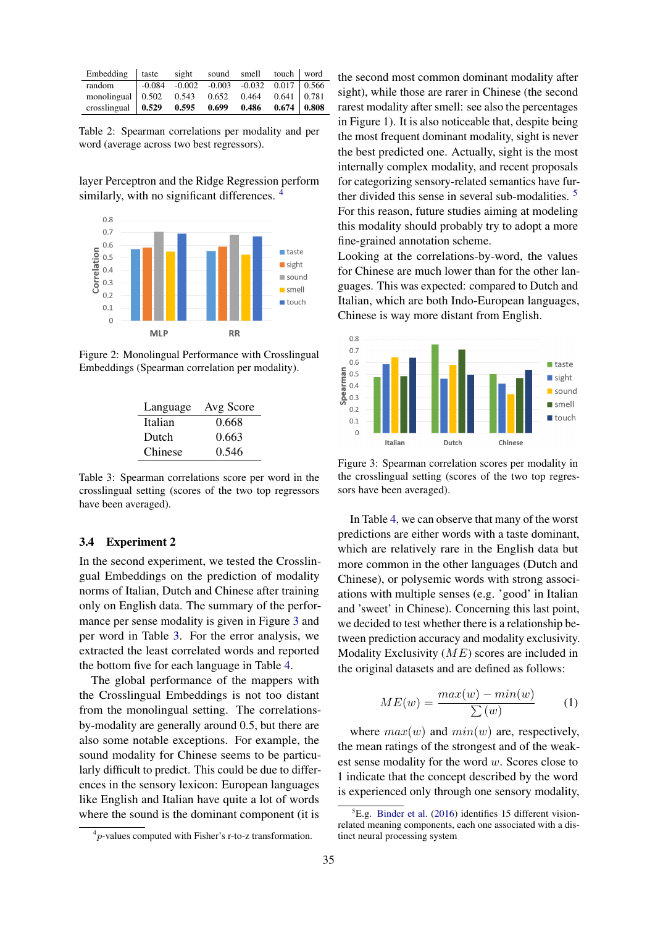<span id="page-3-0"></span>

| Embedding taste sight sound smell touch word                                                             |  |  |  |
|----------------------------------------------------------------------------------------------------------|--|--|--|
| random -0.084 -0.002 -0.003 -0.032 0.017 0.566                                                           |  |  |  |
| monolingual 0.502 0.543 0.652 0.464 0.641 0.781                                                          |  |  |  |
| crosslingual $\begin{array}{ l} 0.529 \quad 0.595 \quad 0.699 \quad 0.486 \quad 0.674 \end{array}$ 0.808 |  |  |  |

Table 2: Spearman correlations per modality and per word (average across two best regressors).

layer Perceptron and the Ridge Regression perform similarly, with no significant differences.<sup>[4](#page-3-1)</sup>



<span id="page-3-3"></span>Figure 2: Monolingual Performance with Crosslingual Embeddings (Spearman correlation per modality).

| Language | Avg Score |
|----------|-----------|
| Italian  | 0.668     |
| Dutch    | 0.663     |
| Chinese  | 0.546     |

Table 3: Spearman correlations score per word in the crosslingual setting (scores of the two top regressors have been averaged).

#### 3.4 Experiment 2

In the second experiment, we tested the Crosslingual Embeddings on the prediction of modality norms of Italian, Dutch and Chinese after training only on English data. The summary of the performance per sense modality is given in Figure [3](#page-3-2) and per word in Table [3.](#page-3-3) For the error analysis, we extracted the least correlated words and reported the bottom five for each language in Table [4.](#page-4-0)

The global performance of the mappers with the Crosslingual Embeddings is not too distant from the monolingual setting. The correlationsby-modality are generally around 0.5, but there are also some notable exceptions. For example, the sound modality for Chinese seems to be particularly difficult to predict. This could be due to differences in the sensory lexicon: European languages like English and Italian have quite a lot of words where the sound is the dominant component (it is

the second most common dominant modality after sight), while those are rarer in Chinese (the second rarest modality after smell: see also the percentages in Figure 1). It is also noticeable that, despite being the most frequent dominant modality, sight is never the best predicted one. Actually, sight is the most internally complex modality, and recent proposals for categorizing sensory-related semantics have further divided this sense in several sub-modalities. [5](#page-3-4) For this reason, future studies aiming at modeling this modality should probably try to adopt a more fine-grained annotation scheme.

Looking at the correlations-by-word, the values for Chinese are much lower than for the other languages. This was expected: compared to Dutch and Italian, which are both Indo-European languages, Chinese is way more distant from English.

<span id="page-3-2"></span>

Figure 3: Spearman correlation scores per modality in the crosslingual setting (scores of the two top regressors have been averaged).

In Table [4,](#page-4-0) we can observe that many of the worst predictions are either words with a taste dominant, which are relatively rare in the English data but more common in the other languages (Dutch and Chinese), or polysemic words with strong associations with multiple senses (e.g. 'good' in Italian and 'sweet' in Chinese). Concerning this last point, we decided to test whether there is a relationship between prediction accuracy and modality exclusivity. Modality Exclusivity  $(ME)$  scores are included in the original datasets and are defined as follows:

$$
ME(w) = \frac{max(w) - min(w)}{\sum(w)} \tag{1}
$$

where  $max(w)$  and  $min(w)$  are, respectively, the mean ratings of the strongest and of the weakest sense modality for the word  $w$ . Scores close to 1 indicate that the concept described by the word is experienced only through one sensory modality,

<span id="page-3-1"></span> ${}^{4}p$ -values computed with Fisher's r-to-z transformation.

<span id="page-3-4"></span> ${}^{5}E.g.$  [Binder et al.](#page-5-20) [\(2016\)](#page-5-20) identifies 15 different visionrelated meaning components, each one associated with a distinct neural processing system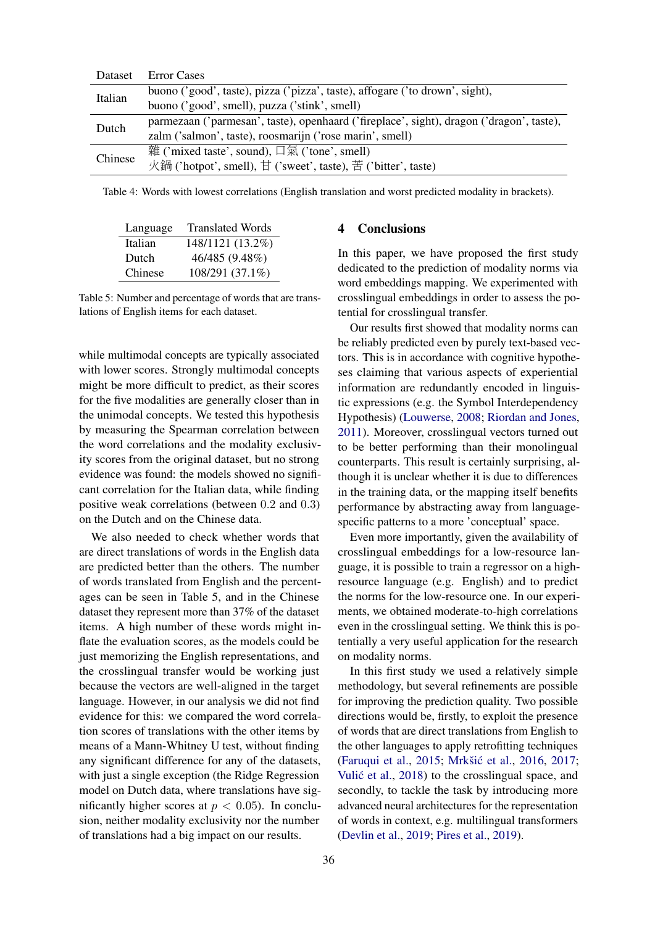<span id="page-4-0"></span>

| Dataset | <b>Error Cases</b>                                                                       |
|---------|------------------------------------------------------------------------------------------|
| Italian | buono ('good', taste), pizza ('pizza', taste), affogare ('to drown', sight),             |
|         | buono ('good', smell), puzza ('stink', smell)                                            |
| Dutch   | parmezaan ('parmesan', taste), openhaard ('fireplace', sight), dragon ('dragon', taste), |
|         | zalm ('salmon', taste), roosmarijn ('rose marin', smell)                                 |
| Chinese | 雜 ('mixed taste', sound), 口氣 ('tone', smell)                                             |
|         | 火鍋 ('hotpot', smell), 甘 ('sweet', taste), 苦 ('bitter', taste)                            |
|         |                                                                                          |

Table 4: Words with lowest correlations (English translation and worst predicted modality in brackets).

| Language | <b>Translated Words</b> |
|----------|-------------------------|
| Italian  | 148/1121 (13.2%)        |
| Dutch    | 46/485 (9.48%)          |
| Chinese  | 108/291 (37.1%)         |

Table 5: Number and percentage of words that are translations of English items for each dataset.

while multimodal concepts are typically associated with lower scores. Strongly multimodal concepts might be more difficult to predict, as their scores for the five modalities are generally closer than in the unimodal concepts. We tested this hypothesis by measuring the Spearman correlation between the word correlations and the modality exclusivity scores from the original dataset, but no strong evidence was found: the models showed no significant correlation for the Italian data, while finding positive weak correlations (between 0.2 and 0.3) on the Dutch and on the Chinese data.

We also needed to check whether words that are direct translations of words in the English data are predicted better than the others. The number of words translated from English and the percentages can be seen in Table 5, and in the Chinese dataset they represent more than 37% of the dataset items. A high number of these words might inflate the evaluation scores, as the models could be just memorizing the English representations, and the crosslingual transfer would be working just because the vectors are well-aligned in the target language. However, in our analysis we did not find evidence for this: we compared the word correlation scores of translations with the other items by means of a Mann-Whitney U test, without finding any significant difference for any of the datasets, with just a single exception (the Ridge Regression model on Dutch data, where translations have significantly higher scores at  $p < 0.05$ ). In conclusion, neither modality exclusivity nor the number of translations had a big impact on our results.

# 4 Conclusions

In this paper, we have proposed the first study dedicated to the prediction of modality norms via word embeddings mapping. We experimented with crosslingual embeddings in order to assess the potential for crosslingual transfer.

Our results first showed that modality norms can be reliably predicted even by purely text-based vectors. This is in accordance with cognitive hypotheses claiming that various aspects of experiential information are redundantly encoded in linguistic expressions (e.g. the Symbol Interdependency Hypothesis) [\(Louwerse,](#page-5-22) [2008;](#page-5-22) [Riordan and Jones,](#page-6-18) [2011\)](#page-6-18). Moreover, crosslingual vectors turned out to be better performing than their monolingual counterparts. This result is certainly surprising, although it is unclear whether it is due to differences in the training data, or the mapping itself benefits performance by abstracting away from languagespecific patterns to a more 'conceptual' space.

Even more importantly, given the availability of crosslingual embeddings for a low-resource language, it is possible to train a regressor on a highresource language (e.g. English) and to predict the norms for the low-resource one. In our experiments, we obtained moderate-to-high correlations even in the crosslingual setting. We think this is potentially a very useful application for the research on modality norms.

In this first study we used a relatively simple methodology, but several refinements are possible for improving the prediction quality. Two possible directions would be, firstly, to exploit the presence of words that are direct translations from English to the other languages to apply retrofitting techniques [\(Faruqui et al.,](#page-5-23) [2015;](#page-5-23) Mrkšić et al., [2016,](#page-6-19) [2017;](#page-6-20) Vulić et al., [2018\)](#page-6-21) to the crosslingual space, and secondly, to tackle the task by introducing more advanced neural architectures for the representation of words in context, e.g. multilingual transformers [\(Devlin et al.,](#page-5-24) [2019;](#page-5-24) [Pires et al.,](#page-6-22) [2019\)](#page-6-22).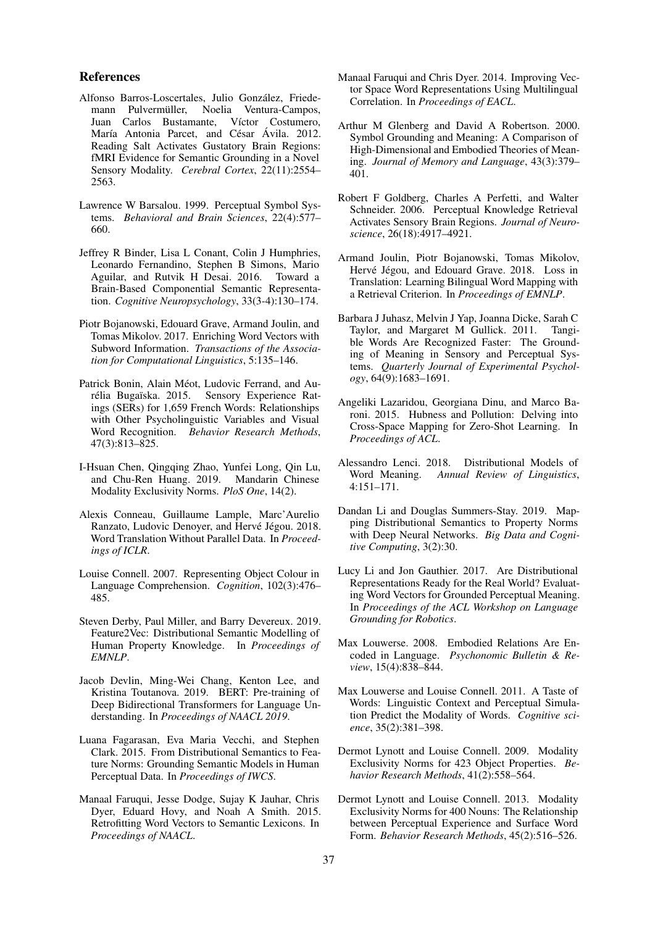#### References

- <span id="page-5-2"></span>Alfonso Barros-Loscertales, Julio González, Friedemann Pulvermüller, Noelia Ventura-Campos, Juan Carlos Bustamante, Víctor Costumero, María Antonia Parcet, and César Ávila. 2012. Reading Salt Activates Gustatory Brain Regions: fMRI Evidence for Semantic Grounding in a Novel Sensory Modality. *Cerebral Cortex*, 22(11):2554– 2563.
- <span id="page-5-0"></span>Lawrence W Barsalou. 1999. Perceptual Symbol Systems. *Behavioral and Brain Sciences*, 22(4):577– 660.
- <span id="page-5-20"></span>Jeffrey R Binder, Lisa L Conant, Colin J Humphries, Leonardo Fernandino, Stephen B Simons, Mario Aguilar, and Rutvik H Desai. 2016. Toward a Brain-Based Componential Semantic Representation. *Cognitive Neuropsychology*, 33(3-4):130–174.
- <span id="page-5-10"></span>Piotr Bojanowski, Edouard Grave, Armand Joulin, and Tomas Mikolov. 2017. Enriching Word Vectors with Subword Information. *Transactions of the Association for Computational Linguistics*, 5:135–146.
- <span id="page-5-7"></span>Patrick Bonin, Alain Méot, Ludovic Ferrand, and Aurélia Bugaïska. 2015. Sensory Experience Ratings (SERs) for 1,659 French Words: Relationships with Other Psycholinguistic Variables and Visual Word Recognition. *Behavior Research Methods*, 47(3):813–825.
- <span id="page-5-8"></span>I-Hsuan Chen, Qingqing Zhao, Yunfei Long, Qin Lu, and Chu-Ren Huang. 2019. Modality Exclusivity Norms. *PloS One*, 14(2).
- <span id="page-5-11"></span>Alexis Conneau, Guillaume Lample, Marc'Aurelio Ranzato, Ludovic Denoyer, and Hervé Jégou. 2018. Word Translation Without Parallel Data. In *Proceedings of ICLR*.
- <span id="page-5-3"></span>Louise Connell. 2007. Representing Object Colour in Language Comprehension. *Cognition*, 102(3):476– 485.
- <span id="page-5-19"></span>Steven Derby, Paul Miller, and Barry Devereux. 2019. Feature2Vec: Distributional Semantic Modelling of Human Property Knowledge. In *Proceedings of EMNLP*.
- <span id="page-5-24"></span>Jacob Devlin, Ming-Wei Chang, Kenton Lee, and Kristina Toutanova. 2019. BERT: Pre-training of Deep Bidirectional Transformers for Language Understanding. In *Proceedings of NAACL 2019*.
- <span id="page-5-16"></span>Luana Fagarasan, Eva Maria Vecchi, and Stephen Clark. 2015. From Distributional Semantics to Feature Norms: Grounding Semantic Models in Human Perceptual Data. In *Proceedings of IWCS*.
- <span id="page-5-23"></span>Manaal Faruqui, Jesse Dodge, Sujay K Jauhar, Chris Dyer, Eduard Hovy, and Noah A Smith. 2015. Retrofitting Word Vectors to Semantic Lexicons. In *Proceedings of NAACL*.
- <span id="page-5-12"></span>Manaal Faruqui and Chris Dyer. 2014. Improving Vector Space Word Representations Using Multilingual Correlation. In *Proceedings of EACL*.
- <span id="page-5-15"></span>Arthur M Glenberg and David A Robertson. 2000. Symbol Grounding and Meaning: A Comparison of High-Dimensional and Embodied Theories of Meaning. *Journal of Memory and Language*, 43(3):379– 401.
- <span id="page-5-1"></span>Robert F Goldberg, Charles A Perfetti, and Walter Schneider. 2006. Perceptual Knowledge Retrieval Activates Sensory Brain Regions. *Journal of Neuroscience*, 26(18):4917–4921.
- <span id="page-5-14"></span>Armand Joulin, Piotr Bojanowski, Tomas Mikolov, Hervé Jégou, and Edouard Grave. 2018. Loss in Translation: Learning Bilingual Word Mapping with a Retrieval Criterion. In *Proceedings of EMNLP*.
- <span id="page-5-6"></span>Barbara J Juhasz, Melvin J Yap, Joanna Dicke, Sarah C Taylor, and Margaret M Gullick. 2011. Tangible Words Are Recognized Faster: The Grounding of Meaning in Sensory and Perceptual Systems. *Quarterly Journal of Experimental Psychology*, 64(9):1683–1691.
- <span id="page-5-13"></span>Angeliki Lazaridou, Georgiana Dinu, and Marco Baroni. 2015. Hubness and Pollution: Delving into Cross-Space Mapping for Zero-Shot Learning. In *Proceedings of ACL*.
- <span id="page-5-9"></span>Alessandro Lenci. 2018. Distributional Models of Word Meaning. *Annual Review of Linguistics*, 4:151–171.
- <span id="page-5-18"></span>Dandan Li and Douglas Summers-Stay. 2019. Mapping Distributional Semantics to Property Norms with Deep Neural Networks. *Big Data and Cognitive Computing*, 3(2):30.
- <span id="page-5-17"></span>Lucy Li and Jon Gauthier. 2017. Are Distributional Representations Ready for the Real World? Evaluating Word Vectors for Grounded Perceptual Meaning. In *Proceedings of the ACL Workshop on Language Grounding for Robotics*.
- <span id="page-5-22"></span>Max Louwerse. 2008. Embodied Relations Are Encoded in Language. *Psychonomic Bulletin & Review*, 15(4):838–844.
- <span id="page-5-21"></span>Max Louwerse and Louise Connell. 2011. A Taste of Words: Linguistic Context and Perceptual Simulation Predict the Modality of Words. *Cognitive science*, 35(2):381–398.
- <span id="page-5-4"></span>Dermot Lynott and Louise Connell. 2009. Modality Exclusivity Norms for 423 Object Properties. *Behavior Research Methods*, 41(2):558–564.
- <span id="page-5-5"></span>Dermot Lynott and Louise Connell. 2013. Modality Exclusivity Norms for 400 Nouns: The Relationship between Perceptual Experience and Surface Word Form. *Behavior Research Methods*, 45(2):516–526.